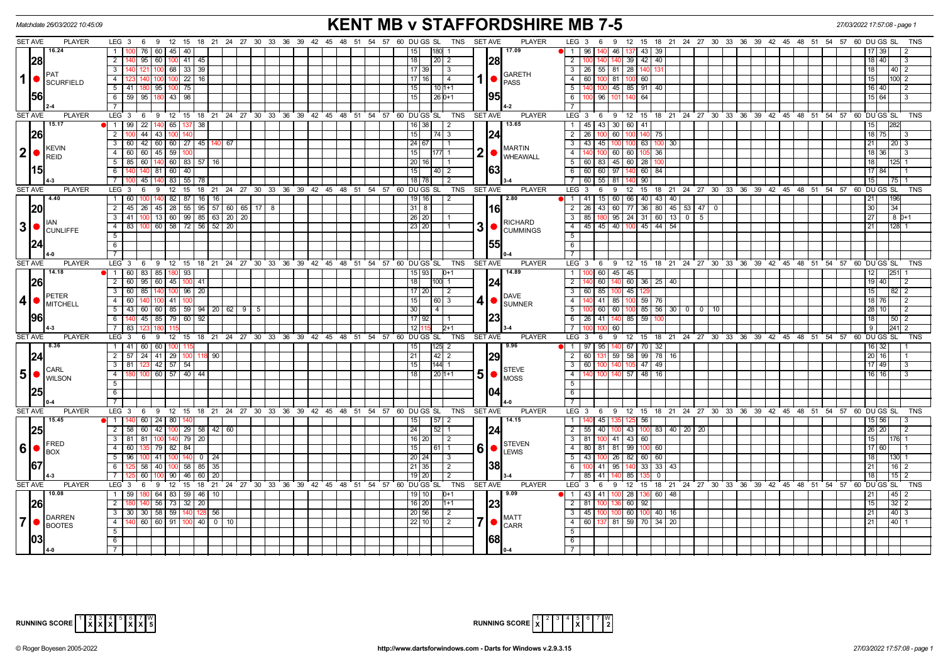| <b>KENT MB v STAFFORDSHIRE MB 7-5</b><br>Matchdate 26/03/2022 10:45:09<br>LEG 3 6 9 12 15 18 21 24 27 30 33 36 39 42 45 48 51 54 57 60 DUGS SL TNS SETAVE<br>9 12 15 18 21 24 27 30 33 36 39 42 45 48 51 54 57 60 DUGS SL |                |                                                                                 |                                                                          |                                                                    |                                                                        |                 |    |  |  |                                                   |  |  |  | 27/03/2022 17:57:08 - page 1 |                           |                            |            |                |                               |                                  |                                 |          |                      |               |            |                               |                     |  |  |                                                                                          |                |                      |      |                |  |
|---------------------------------------------------------------------------------------------------------------------------------------------------------------------------------------------------------------------------|----------------|---------------------------------------------------------------------------------|--------------------------------------------------------------------------|--------------------------------------------------------------------|------------------------------------------------------------------------|-----------------|----|--|--|---------------------------------------------------|--|--|--|------------------------------|---------------------------|----------------------------|------------|----------------|-------------------------------|----------------------------------|---------------------------------|----------|----------------------|---------------|------------|-------------------------------|---------------------|--|--|------------------------------------------------------------------------------------------|----------------|----------------------|------|----------------|--|
|                                                                                                                                                                                                                           | <b>SET AVE</b> | <b>PLAYER</b>                                                                   |                                                                          |                                                                    |                                                                        |                 |    |  |  |                                                   |  |  |  |                              |                           |                            |            |                | <b>PLAYER</b>                 |                                  | $LEG_3 6$                       |          |                      |               |            |                               |                     |  |  |                                                                                          |                |                      |      | TNS            |  |
|                                                                                                                                                                                                                           |                | 16.24                                                                           | 1                                                                        | 76 60 45 40                                                        |                                                                        |                 |    |  |  |                                                   |  |  |  |                              | 15                        | 180 1                      |            |                | 17.09                         | $\overline{1}$                   | 96 I                            |          | 46 137 43 39         |               |            |                               |                     |  |  |                                                                                          |                |                      | 39   |                |  |
|                                                                                                                                                                                                                           | 28             |                                                                                 | $\overline{2}$                                                           | $95$ 60 100 41 45                                                  |                                                                        |                 |    |  |  |                                                   |  |  |  |                              | 18                        | $20$   2                   |            | 28             |                               | $\overline{2}$                   |                                 | 140      |                      | 39 42 40      |            |                               |                     |  |  |                                                                                          |                | 18 40                |      |                |  |
|                                                                                                                                                                                                                           |                |                                                                                 | 3   140                                                                  | 121   100   68   33   39                                           |                                                                        |                 |    |  |  |                                                   |  |  |  |                              | 17 39                     | $\vert$ 3                  |            |                | <b>GARETH</b>                 | $\overline{\mathbf{3}}$          | 26 55 81 28 140                 |          |                      |               |            |                               |                     |  |  |                                                                                          |                | 18                   |      | 40   2         |  |
| $\vert$                                                                                                                                                                                                                   |                | SCURFIELD                                                                       | 4   123                                                                  |                                                                    |                                                                        | 100 100 22 16   |    |  |  |                                                   |  |  |  |                              | $ 17 16 $ 4               |                            |            |                | <b>PASS</b>                   | $\overline{4}$                   | 60 100 81 100 60                |          |                      |               |            |                               |                     |  |  |                                                                                          |                | 15                   | 1001 |                |  |
|                                                                                                                                                                                                                           |                |                                                                                 | $\overline{5}$ 41 180 95 100 75                                          |                                                                    |                                                                        |                 |    |  |  |                                                   |  |  |  |                              | 15                        | $101+1$                    |            |                |                               | $\overline{5}$                   |                                 |          | 140 100 45 85 91 40  |               |            |                               |                     |  |  |                                                                                          |                | $16$ 40              |      | $\overline{2}$ |  |
|                                                                                                                                                                                                                           | <b>156</b>     |                                                                                 | 6   59   95   180   43   98                                              |                                                                    |                                                                        |                 |    |  |  |                                                   |  |  |  |                              | 15                        | $26D+1$                    |            | 1951           |                               | 6                                | 100 96 101                      |          |                      | 64            |            |                               |                     |  |  |                                                                                          |                | 15 64                |      |                |  |
|                                                                                                                                                                                                                           |                |                                                                                 |                                                                          |                                                                    |                                                                        |                 |    |  |  |                                                   |  |  |  |                              |                           |                            |            |                |                               |                                  |                                 |          |                      |               |            |                               |                     |  |  |                                                                                          |                |                      |      |                |  |
|                                                                                                                                                                                                                           | <b>SET AVE</b> | <b>PLAYER</b>                                                                   | LEG 3 6 9 12 15 18 21 24 27 30 33 36 39 42 45 48 51 54 57 60 DUGS SL TNS |                                                                    |                                                                        |                 |    |  |  |                                                   |  |  |  |                              |                           |                            |            | <b>SET AVE</b> | <b>PLAYER</b>                 |                                  |                                 |          |                      |               |            |                               |                     |  |  | LEG 3 6 9 12 15 18 21 24 27 30 33 36 39 42 45 48 51 54 57 60 DUGS SL                     |                |                      |      | TNS            |  |
|                                                                                                                                                                                                                           |                | 15.17                                                                           | 1   99   22   140   65   137   38                                        |                                                                    |                                                                        |                 |    |  |  |                                                   |  |  |  |                              | 16 38                     | $\frac{12}{2}$             |            |                | 13.65                         | $\overline{1}$                   | 45 43 30 60 41                  |          |                      |               |            |                               |                     |  |  |                                                                                          |                | 15                   |      |                |  |
|                                                                                                                                                                                                                           | <b>26</b>      |                                                                                 | $2 \mid 100$                                                             | $44$   43   100                                                    |                                                                        |                 |    |  |  |                                                   |  |  |  |                              | 15                        | $74 \overline{\smash{)}3}$ |            | 124            |                               | $\overline{2}$                   | 26                              | $100$ 60 |                      | 100 140 75    |            |                               |                     |  |  |                                                                                          |                | $18$ 75              |      |                |  |
|                                                                                                                                                                                                                           |                | <b>KEVIN</b>                                                                    | $3   60   42   60   60   27   45   140   67$                             |                                                                    |                                                                        |                 |    |  |  |                                                   |  |  |  |                              | $\boxed{24}$ $\boxed{67}$ | $\overline{11}$            |            |                | <b>MARTIN</b>                 | $\overline{\mathbf{3}}$          | 43 45 100 100 63 100            |          |                      |               |            | 30 I                          |                     |  |  |                                                                                          |                | 21                   |      | 20   3         |  |
|                                                                                                                                                                                                                           | 2 ●            | <b>REID</b>                                                                     | 4 60 60 45 59 100                                                        |                                                                    |                                                                        |                 |    |  |  |                                                   |  |  |  |                              | 15                        | $177$ 1                    |            | 2              | <b>WHEAWALL</b>               | $\overline{4}$                   |                                 |          | 140 100 60 60 105 36 |               |            |                               |                     |  |  |                                                                                          |                | 18 36                |      |                |  |
|                                                                                                                                                                                                                           |                |                                                                                 | 5 85 60 140 60 83 57 16                                                  | 140                                                                |                                                                        |                 |    |  |  |                                                   |  |  |  |                              | 20   16                   |                            |            |                |                               | 6                                | 5 60 83 45 60 28                |          |                      |               |            |                               |                     |  |  |                                                                                          |                | 18 I                 |      |                |  |
|                                                                                                                                                                                                                           | 15             |                                                                                 | 6                                                                        | 45                                                                 | $81$ 60 $40$                                                           | 83 55 78        |    |  |  |                                                   |  |  |  |                              | 15<br>$18$ 78             | $40$   2<br>l 2            |            | 63             |                               | $\overline{7}$                   | 60 60 97 140<br>60 55 81        |          |                      | 60<br>90      | 84         |                               |                     |  |  |                                                                                          |                | 17 84<br>15          |      |                |  |
|                                                                                                                                                                                                                           | SET AVE        | <b>PLAYER</b>                                                                   | $LEG_3$                                                                  | 6<br>9                                                             | 12 <sup>1</sup><br>15                                                  |                 |    |  |  | 18 21 24 27 30 33 36 39 42 45 48 51 54 57         |  |  |  |                              | 60 DUGS SL TNS            |                            |            | <b>SET AVE</b> | <b>PLAYER</b>                 | <b>LEG</b>                       | $\mathbf{3}$                    | 6<br>9   |                      | $12 \quad 15$ |            |                               |                     |  |  | 18 21 24 27 30 33 36 39 42 45 48 51 54 57 60 DUGS SL                                     |                |                      |      | <b>TNS</b>     |  |
|                                                                                                                                                                                                                           |                | 14.40                                                                           | $1 \overline{60}$                                                        | 100                                                                |                                                                        | 140 82 87 16 16 |    |  |  |                                                   |  |  |  |                              | 19 16                     | l 2                        |            |                | 2.80                          | $\overline{1}$                   | 41 15 60                        |          |                      | 66 40 43      |            | 40                            |                     |  |  |                                                                                          |                | 21                   |      |                |  |
|                                                                                                                                                                                                                           | 20             |                                                                                 | 2 45 26 45 28 55 95 57 60 65 17 8                                        |                                                                    |                                                                        |                 |    |  |  |                                                   |  |  |  |                              | 31 8                      |                            |            | l16l           |                               | $\overline{2}$                   | 26 43 60                        |          |                      |               |            |                               | 77 36 80 45 53 47 0 |  |  |                                                                                          |                | 30                   | 34   |                |  |
|                                                                                                                                                                                                                           |                |                                                                                 | $3$   41   100   13   60   99   85   63   20   20                        |                                                                    |                                                                        |                 |    |  |  |                                                   |  |  |  |                              | 26 20                     |                            |            |                |                               |                                  | 85 180 95 24 31 60 13 0 5       |          |                      |               |            |                               |                     |  |  |                                                                                          |                | 27                   |      | 8 0+1          |  |
|                                                                                                                                                                                                                           |                | $3$ $\bullet$ $\left  \begin{smallmatrix} 1 \end{smallmatrix} \right $ cunliffe | $\overline{4}$<br>83                                                     | 100 60 58 72 56 52 20                                              |                                                                        |                 |    |  |  |                                                   |  |  |  |                              | 23 20                     |                            |            | 3              | RICHARD                       | $\overline{4}$                   | 45 45 40 100 45 44 54           |          |                      |               |            |                               |                     |  |  |                                                                                          |                | 21                   | 128  |                |  |
|                                                                                                                                                                                                                           |                |                                                                                 | 5                                                                        |                                                                    |                                                                        |                 |    |  |  |                                                   |  |  |  |                              |                           |                            |            |                | CUMMINGS                      | $\overline{5}$                   |                                 |          |                      |               |            |                               |                     |  |  |                                                                                          |                |                      |      |                |  |
|                                                                                                                                                                                                                           | 124            |                                                                                 | $6\overline{6}$                                                          |                                                                    |                                                                        |                 |    |  |  |                                                   |  |  |  |                              |                           |                            |            | 155            |                               | 6                                |                                 |          |                      |               |            |                               |                     |  |  |                                                                                          |                |                      |      |                |  |
|                                                                                                                                                                                                                           |                |                                                                                 | $\overline{7}$                                                           |                                                                    |                                                                        |                 |    |  |  |                                                   |  |  |  |                              |                           |                            |            |                |                               | $\overline{7}$                   |                                 |          |                      |               |            |                               |                     |  |  |                                                                                          |                |                      |      |                |  |
|                                                                                                                                                                                                                           | <b>SET AVE</b> | <b>PLAYER</b>                                                                   | LEG <sub>3</sub>                                                         | 6 9 12 15 18 21 24 27 30 33 36 39 42 45 48 51 54 57 60 DUGS SL     |                                                                        |                 |    |  |  |                                                   |  |  |  |                              |                           |                            | TNS        | SET AVE        | <b>PLAYER</b>                 |                                  |                                 |          |                      |               |            |                               |                     |  |  | LEG 3  6  9  12  15  18  21  24  27  30  33  36  39  42  45  48  51  54  57  60  DUGS SL |                |                      |      | <b>TNS</b>     |  |
|                                                                                                                                                                                                                           |                | 14.18                                                                           |                                                                          | 1 1 60 83 85 180 93                                                |                                                                        |                 |    |  |  |                                                   |  |  |  |                              | 15 93                     | $D+1$                      |            |                | 14.89                         | $\overline{1}$                   |                                 | 60 45    | 45                   |               |            |                               |                     |  |  |                                                                                          |                | 12                   | 251  |                |  |
|                                                                                                                                                                                                                           | <b>26</b>      |                                                                                 | $2^{\circ}$                                                              | 60   95   60   45   100   41                                       |                                                                        |                 |    |  |  |                                                   |  |  |  |                              | 18                        | 100 1                      |            | 1241           |                               | $\overline{2}$                   |                                 | 60 140   |                      | 60 36 25      |            | 40                            |                     |  |  |                                                                                          |                | 19 40                |      |                |  |
|                                                                                                                                                                                                                           |                | <b>PETER</b><br><b>MITCHELL</b>                                                 | 3 60 85                                                                  | 140 100 96 20                                                      |                                                                        |                 |    |  |  |                                                   |  |  |  | $17$   20                    |                           |                            |            | <b>DAVE</b>    | $\overline{\mathbf{3}}$       | 60 85                            |                                 | 45       |                      |               |            |                               |                     |  |  |                                                                                          | 15             | 82                   |      |                |  |
| $\vert$ 4                                                                                                                                                                                                                 |                |                                                                                 | $4 \mid 60$                                                              |                                                                    | $100$ 41<br>100<br>$5   43   60   60   85   59   94   20   62   9   5$ |                 |    |  |  |                                                   |  |  |  |                              | 15                        | $\boxed{60}$ $\boxed{3}$   |            | 4 •            | <b>SUMNER</b>                 | $\overline{4}$                   |                                 |          | 140 41 85 100 59 76  |               |            |                               |                     |  |  |                                                                                          |                | $18$ 76              |      |                |  |
|                                                                                                                                                                                                                           |                |                                                                                 |                                                                          |                                                                    |                                                                        |                 |    |  |  |                                                   |  |  |  | 30                           | $\vert 4 \vert$           |                            |            |                | 5                             |                                  |                                 |          |                      |               |            | 100 60 60 100 85 56 30 0 0 10 |                     |  |  |                                                                                          | $28$   10      |                      | l 2  |                |  |
|                                                                                                                                                                                                                           | <b>96</b>      |                                                                                 | 6   140   45   85   79   60   92                                         |                                                                    |                                                                        |                 |    |  |  |                                                   |  |  |  |                              | 17   92                   |                            |            | 23             |                               |                                  | 6 26 41 140 85 59               |          |                      |               |            |                               |                     |  |  |                                                                                          |                | 18                   |      | 50   2         |  |
|                                                                                                                                                                                                                           |                |                                                                                 | 7   83                                                                   |                                                                    |                                                                        |                 |    |  |  |                                                   |  |  |  |                              | 12                        | $2+1$                      |            |                |                               | $\overline{\phantom{a}}$         |                                 | 10000    |                      |               |            |                               |                     |  |  |                                                                                          |                | 9 <sup>1</sup>       |      |                |  |
|                                                                                                                                                                                                                           | <b>SET AVE</b> | <b>PLAYER</b>                                                                   | $LEG_3$                                                                  | 6                                                                  |                                                                        |                 |    |  |  | 9 12 15 18 21 24 27 30 33 36 39 42 45 48 51 54 57 |  |  |  |                              | 60 DU GS SL               |                            | <b>TNS</b> | <b>SET AVE</b> | <b>PLAYER</b>                 | $LEG_3$                          |                                 | 6<br>່ 9 |                      |               |            |                               |                     |  |  | 12 15 18 21 24 27 30 33 36 39 42 45 48 51 54 57 60 DUGS                                  |                |                      |      |                |  |
|                                                                                                                                                                                                                           |                | <b>B.36</b>                                                                     | 1 41 60 60 100 115                                                       |                                                                    |                                                                        |                 |    |  |  |                                                   |  |  |  |                              | 15                        | $125$ 2                    |            |                | 9.96                          | $\overline{1}$<br>$\overline{2}$ | 97 95 140 67 70 32<br>60 131 59 |          |                      | 58 99 78      |            |                               |                     |  |  |                                                                                          |                | 16 32                |      |                |  |
|                                                                                                                                                                                                                           | 24             |                                                                                 | $3 \mid 81$                                                              | 2 57 24 41 29 100<br>118 90<br>  42   57   54                      |                                                                        |                 |    |  |  |                                                   |  |  |  | 21<br>15                     | 42 2<br>$144$ 1           |                            |            | 29             | $\overline{\mathbf{3}}$       | 60 100 140                       |                                 |          | 105 47 49            |               | 16         |                               |                     |  |  |                                                                                          | 20 16<br>17 49 |                      |      |                |  |
|                                                                                                                                                                                                                           |                | <b>CARL</b>                                                                     | 4   180   100   60   57   40   44                                        |                                                                    |                                                                        |                 |    |  |  |                                                   |  |  |  |                              | 18                        | $20 1+1$                   |            | 5              | <b>STEVE</b>                  | $\overline{4}$                   |                                 |          | 140 100 140 57 48 16 |               |            |                               |                     |  |  |                                                                                          |                | $\overline{16}$   16 |      |                |  |
|                                                                                                                                                                                                                           |                | $\vert 5 \vert$ $\bullet$ $\vert_{\text{WILSON}}^{\text{CARL}}$                 | 5 <sup>1</sup>                                                           |                                                                    |                                                                        |                 |    |  |  |                                                   |  |  |  |                              |                           |                            |            | $\bullet$      | <b>MOSS</b>                   | $\overline{5}$                   |                                 |          |                      |               |            |                               |                     |  |  |                                                                                          |                |                      |      |                |  |
|                                                                                                                                                                                                                           |                |                                                                                 | 6                                                                        |                                                                    |                                                                        |                 |    |  |  |                                                   |  |  |  |                              |                           |                            |            |                |                               | $\overline{6}$                   |                                 |          |                      |               |            |                               |                     |  |  |                                                                                          |                |                      |      |                |  |
|                                                                                                                                                                                                                           |                |                                                                                 |                                                                          |                                                                    |                                                                        |                 |    |  |  |                                                   |  |  |  |                              |                           |                            |            |                |                               |                                  |                                 |          |                      |               |            |                               |                     |  |  |                                                                                          |                |                      |      |                |  |
|                                                                                                                                                                                                                           | <b>SET AVE</b> | PLAYER                                                                          | LEG 3 6 9 12 15 18 21 24 27 30 33 36 39 42 45 48 51 54 57 60 DUGS SL     |                                                                    |                                                                        |                 |    |  |  |                                                   |  |  |  |                              |                           |                            | TNS        | <b>SET AVE</b> | <b>PLAYER</b>                 |                                  |                                 |          |                      |               |            |                               |                     |  |  | LEG 3 6 9 12 15 18 21 24 27 30 33 36 39 42 45 48 51 54 57 60 DUGS SL                     |                |                      |      | <b>TNS</b>     |  |
|                                                                                                                                                                                                                           |                | 15.45                                                                           | 1   140   60   24   80   140                                             |                                                                    |                                                                        |                 |    |  |  |                                                   |  |  |  |                              | 15                        | 57 2                       |            |                | 14.15                         | $\overline{1}$                   | 140 45 135                      |          |                      | 125 56        |            |                               |                     |  |  |                                                                                          |                | 15 56                |      |                |  |
|                                                                                                                                                                                                                           | 25             |                                                                                 | $2$ 58 60 42 100 29 58 42 60                                             |                                                                    |                                                                        |                 |    |  |  |                                                   |  |  |  |                              | 24                        | $52$ 1                     |            | <b>1241</b>    |                               | $\overline{2}$                   | 55 40 100                       |          |                      |               |            | 43 100 83 40 20 20            |                     |  |  |                                                                                          |                | 26 20                |      | <u>2</u>       |  |
|                                                                                                                                                                                                                           |                |                                                                                 | $3$   81   81   100   140   79   20                                      |                                                                    |                                                                        |                 |    |  |  |                                                   |  |  |  |                              | 16 20                     | $\vert$ 2                  |            |                |                               | $\overline{\mathbf{3}}$          | 81 100 41 43 60                 |          |                      |               |            |                               |                     |  |  |                                                                                          |                | 15                   |      | $ 176 $ 1      |  |
|                                                                                                                                                                                                                           |                | <b>FRED</b><br>$ 6  \bullet  _{\text{Box}}^{\text{free}}$                       | $4 \overline{60}$                                                        |                                                                    | 79 82 84                                                               |                 |    |  |  |                                                   |  |  |  |                              | 15                        | 61   1                     |            | 6<br>$\bullet$ | <b>STEVEN</b><br><b>LEWIS</b> | $\overline{4}$                   | 80 81 81 99 100 60              |          |                      |               |            |                               |                     |  |  |                                                                                          |                | 17160                |      |                |  |
|                                                                                                                                                                                                                           |                |                                                                                 | $5 \mid 96$                                                              | 100 41 100                                                         |                                                                        | 140 0 24        |    |  |  |                                                   |  |  |  |                              | 20   24                   | IЗ                         |            |                |                               | $\overline{5}$                   | 43 100 26 82 60 60              |          |                      |               |            |                               |                     |  |  |                                                                                          |                | 18 <sup>1</sup>      | 130  |                |  |
|                                                                                                                                                                                                                           | 167            |                                                                                 | 6 125 58 40 100 58 85 35                                                 |                                                                    |                                                                        |                 |    |  |  |                                                   |  |  |  |                              | $21 \, 35$                | l 2                        |            | 38             |                               | 6                                | 100 41 95                       |          |                      | 33            | 33         | 43                            |                     |  |  |                                                                                          |                | 21                   |      | $16$   2       |  |
|                                                                                                                                                                                                                           |                |                                                                                 | 7 <sup>1</sup>                                                           | 60                                                                 | 46<br>  90                                                             | 60              | 20 |  |  |                                                   |  |  |  |                              | 19                        | $\overline{2}$             |            |                |                               | $\overline{7}$                   | $85$ 41                         |          | 85                   |               | $^{\circ}$ |                               |                     |  |  |                                                                                          |                | 18                   | 15   |                |  |
|                                                                                                                                                                                                                           | <b>SET AVE</b> | <b>PLAYER</b>                                                                   | LEG <sub>3</sub>                                                         | 6 9 12 15 18 21 24 27 30 33 36 39 42 45 48 51 54 57 60 DUGS SL TNS |                                                                        |                 |    |  |  |                                                   |  |  |  |                              |                           |                            |            | <b>SET AVE</b> | <b>PLAYER</b>                 |                                  |                                 |          |                      |               |            |                               |                     |  |  | LEG 3 6 9 12 15 18 21 24 27 30 33 36 39 42 45 48 51 54 57 60 DUGS SL                     |                |                      |      | <b>TNS</b>     |  |
|                                                                                                                                                                                                                           |                | 10.08                                                                           | $1 \mid 59$                                                              |                                                                    |                                                                        | 64 83 59 46 10  |    |  |  |                                                   |  |  |  |                              | 19   10                   | $D+1$                      |            |                | 9.09                          | $\overline{1}$ 1                 | 43 41                           |          | 28                   |               | 136 60     | 48                            |                     |  |  |                                                                                          |                |                      | 45   |                |  |
|                                                                                                                                                                                                                           | 26             |                                                                                 | $\overline{2}$                                                           |                                                                    |                                                                        | 56 73 32 20     |    |  |  |                                                   |  |  |  |                              | $16$   20                 | $1 + 1$                    |            | 23             |                               | $\overline{2}$                   | 81 100                          |          |                      | 60 92         |            |                               |                     |  |  |                                                                                          |                | 15                   |      | $32$   2       |  |
|                                                                                                                                                                                                                           |                | DARREN                                                                          | 3 <sup>1</sup><br>30 <sup>°</sup>                                        | 30   58   59                                                       |                                                                        |                 | 56 |  |  |                                                   |  |  |  |                              | 20 56                     | $\overline{2}$             |            |                | <b>MATT</b>                   | $\overline{\mathbf{3}}$          | 45 100                          |          |                      | 60 100 40     |            | 16                            |                     |  |  |                                                                                          |                | 21                   |      | $ 40 $ 3       |  |
| $\overline{7}$                                                                                                                                                                                                            |                | <b>BOOTES</b>                                                                   | 4   140                                                                  | 60 60 91 100 40 0 10                                               |                                                                        |                 |    |  |  |                                                   |  |  |  |                              | 22 10                     | $\sqrt{2}$                 |            | 7              | <b>CARR</b>                   | $\overline{4}$                   | 60 137 81 59 70 34 20           |          |                      |               |            |                               |                     |  |  |                                                                                          |                | 21                   | 40   |                |  |
|                                                                                                                                                                                                                           |                |                                                                                 | 5                                                                        |                                                                    |                                                                        |                 |    |  |  |                                                   |  |  |  |                              |                           |                            |            |                | 1681                          | 5                                |                                 |          |                      |               |            |                               |                     |  |  |                                                                                          |                |                      |      |                |  |
|                                                                                                                                                                                                                           | 1031           |                                                                                 | 6                                                                        |                                                                    |                                                                        |                 |    |  |  |                                                   |  |  |  |                              |                           |                            |            |                |                               | 6                                |                                 |          |                      |               |            |                               |                     |  |  |                                                                                          |                |                      |      |                |  |
|                                                                                                                                                                                                                           |                |                                                                                 |                                                                          |                                                                    |                                                                        |                 |    |  |  |                                                   |  |  |  |                              |                           |                            |            |                |                               | $\overline{7}$                   |                                 |          |                      |               |            |                               |                     |  |  |                                                                                          |                |                      |      |                |  |

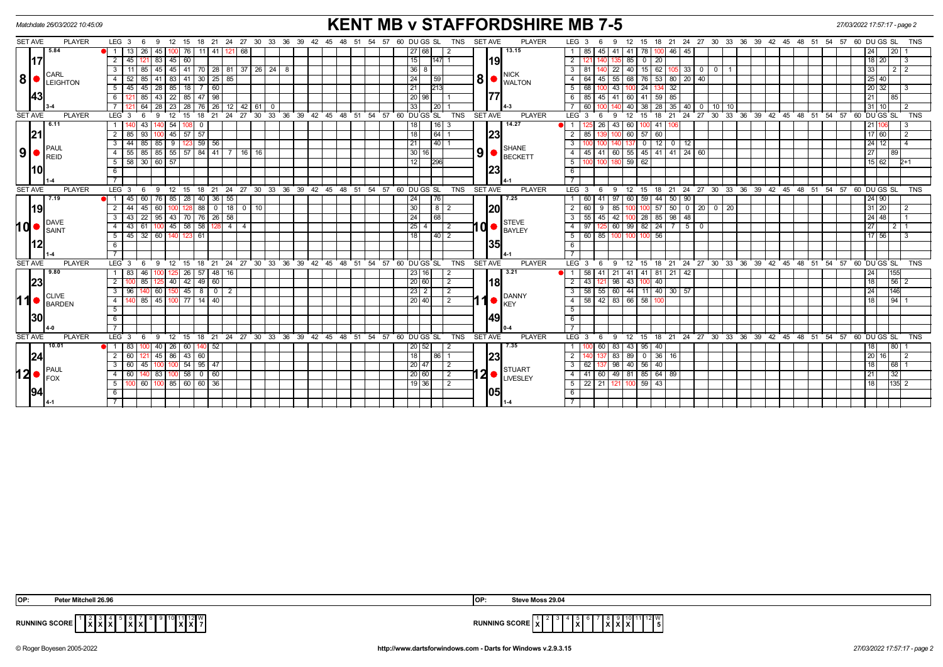|                | <b>KENT MB v STAFFORDSHIRE MB 7-5</b><br>Matchdate 26/03/2022 10:45:09 |                                              |                  |       |                                                 |                         |               |                      |                         |                              |              |                                                            |       |                                                                                        | 27/03/2022 17:57:17 - page 2 |  |    |  |                                                   |  |                 |             |                |                |                |             |                              |                         |                  |                                    |                                   |                  |                 |                 |           |                    |           |    |  |  |  |                                                            |    |                   |     |                |            |
|----------------|------------------------------------------------------------------------|----------------------------------------------|------------------|-------|-------------------------------------------------|-------------------------|---------------|----------------------|-------------------------|------------------------------|--------------|------------------------------------------------------------|-------|----------------------------------------------------------------------------------------|------------------------------|--|----|--|---------------------------------------------------|--|-----------------|-------------|----------------|----------------|----------------|-------------|------------------------------|-------------------------|------------------|------------------------------------|-----------------------------------|------------------|-----------------|-----------------|-----------|--------------------|-----------|----|--|--|--|------------------------------------------------------------|----|-------------------|-----|----------------|------------|
| <b>SET AVE</b> |                                                                        | <b>PLAYER</b>                                | $LEG_36$         |       |                                                 | -9                      | 12 15         |                      |                         |                              |              | 18 21 24 27 30 33 36 39 42                                 |       |                                                                                        |                              |  | 45 |  | 48 51 54 57 60 DU GS SL                           |  |                 |             |                | <b>TNS</b>     | <b>SET AVE</b> |             | <b>PLAYER</b>                |                         | LEG <sub>3</sub> |                                    | 9                                 | $12^{\circ}$     | - 15            |                 |           |                    |           |    |  |  |  | 18 21 24 27 30 33 36 39 42 45 48 51 54 57 60 DUGS SL       |    |                   |     |                | <b>TNS</b> |
|                |                                                                        | 5.84                                         |                  | 13 I  | 26                                              | 45                      |               | 100 76               | 111                     |                              | 41   121     | 68                                                         |       |                                                                                        |                              |  |    |  |                                                   |  |                 | 27 68       |                | 2              |                |             | 13.15                        |                         | 85 I             | 45                                 | 41                                | 41 78            |                 |                 | 46<br>45  |                    |           |    |  |  |  |                                                            |    | 24                | 20  |                |            |
|                | <b>117</b>                                                             |                                              | $\overline{2}$   | $-45$ |                                                 | 83                      |               | 45 60                |                         |                              |              |                                                            |       |                                                                                        |                              |  |    |  |                                                   |  | 15              |             | $ 147 $ 1      |                |                | <b>19</b>   |                              | $\overline{2}$          |                  |                                    |                                   | 85               | $\overline{0}$  | $\overline{20}$ |           |                    |           |    |  |  |  |                                                            |    | $18$   20         |     |                |            |
|                |                                                                        |                                              |                  |       |                                                 | 45                      | 45   41       |                      |                         |                              |              | 70   28   81   37   26   24   8                            |       |                                                                                        |                              |  |    |  |                                                   |  | 36              | 8           |                |                |                |             |                              | $\overline{3}$          | -81              |                                    | 22                                | 40 l             | 15              | 62              |           | 33<br>$\mathbf 0$  | $\circ$ 1 |    |  |  |  |                                                            |    | 33                |     | 2 <sub>1</sub> |            |
|                | 8 •                                                                    | <b>CARL</b><br>LEIGHTON                      | $\overline{4}$   |       |                                                 | 41                      | 83            | 41                   | 30                      |                              | $25 \mid 85$ |                                                            |       |                                                                                        |                              |  |    |  |                                                   |  | $\overline{24}$ |             | 59             |                |                | 8           | <b>NICK</b><br><b>WALTON</b> | $\overline{4}$          | 64               | 45                                 | 55                                | 68               | 76              | 53              |           | 80 20 40           |           |    |  |  |  |                                                            |    | 25 40             |     |                |            |
|                |                                                                        |                                              | 5                | 45 I  | $45$   28                                       |                         |               | $85$   18            |                         | 60                           |              |                                                            |       |                                                                                        |                              |  |    |  |                                                   |  | $\overline{21}$ |             | 213            |                |                |             |                              | $\overline{5}$          | 68               |                                    | 43                                |                  | $\overline{24}$ |                 | 32        |                    |           |    |  |  |  |                                                            |    | 20 32             |     |                |            |
|                | 43                                                                     |                                              | 6                |       | 85                                              | 43                      | - 22 I        | 85                   | 47                      | 98                           |              |                                                            |       |                                                                                        |                              |  |    |  |                                                   |  |                 | 20 98       |                |                |                | 177         |                              | 6                       | 85               | 45                                 | 41                                | 60 41            |                 | 59              | 85        |                    |           |    |  |  |  |                                                            |    | 21                | 85  |                |            |
|                |                                                                        |                                              |                  |       | 64                                              | $\overline{28}$         |               | $23 \mid 28 \mid$    |                         |                              |              | $\begin{bmatrix} 76 & 26 & 12 & 42 & 61 & 0 \end{bmatrix}$ |       |                                                                                        |                              |  |    |  |                                                   |  | 33              |             | l 20 l         |                |                |             |                              |                         | 60               |                                    |                                   | 40 38            |                 | $\overline{28}$ |           | $35$   40   0   10 |           | 10 |  |  |  |                                                            |    | 31 10             |     |                |            |
| <b>SET AVE</b> |                                                                        | <b>PLAYER</b>                                | LEG <sub>3</sub> |       |                                                 |                         |               | 15                   | 18                      | 21                           | 24           | $^{\circ}$ 27                                              |       |                                                                                        |                              |  |    |  | 30 33 36 39 42 45 48 51 54 57 60 DUGS SL          |  |                 |             |                | <b>TNS</b>     | SET AVE        |             | <b>PLAYER</b>                | LEG <sup>®</sup>        | - 3              |                                    |                                   | 12               | 15              | 18              | 21        | $24$ 27            | 30        |    |  |  |  | 33 36 39 42 45 48 51 54 57 60 DUGS SL                      |    |                   |     |                | <b>TNS</b> |
|                |                                                                        | 6.11                                         |                  |       | 43                                              |                         | 54            |                      | -0                      |                              |              |                                                            |       |                                                                                        |                              |  |    |  |                                                   |  | 18              |             | 16   3         |                |                |             | 14.27                        |                         |                  | 26                                 | 43                                | 60               |                 | 41              |           |                    |           |    |  |  |  |                                                            |    | 21                |     |                |            |
|                | 21                                                                     |                                              | 2 I              | 85    | 93                                              |                         |               | $45 \mid 57 \mid 57$ |                         |                              |              |                                                            |       |                                                                                        |                              |  |    |  |                                                   |  | 18              |             | 64             |                |                | 23          |                              | $\overline{2}$          | 85               |                                    |                                   | $60$ 57          |                 | $-60$           |           |                    |           |    |  |  |  |                                                            |    | $17$ 60           |     | 2              |            |
|                |                                                                        |                                              | $\overline{3}$   |       |                                                 | 44 85 85 9 123 59 56    |               |                      |                         |                              |              |                                                            |       |                                                                                        |                              |  |    |  |                                                   |  | 21              |             | 40 1           |                |                |             |                              | $\overline{3}$          |                  |                                    |                                   | 137 <sup>1</sup> | $\overline{0}$  | $\overline{12}$ | $0$ 12    |                    |           |    |  |  |  |                                                            |    | $24$ 12           |     |                |            |
|                |                                                                        | $9$ $\bullet$ $_{\text{REID}}^{\text{PAUL}}$ | $\overline{4}$   | 55    | 85                                              | 85 55 57 84 41 7        |               |                      |                         |                              |              |                                                            | 16 16 |                                                                                        |                              |  |    |  |                                                   |  | 30              | 16          |                |                |                | 9 •         | SHANE<br>BECKETT             | $\overline{4}$          | 45 I             |                                    | 60                                |                  | 55 45 41        |                 |           | $41$ 24 60         |           |    |  |  |  |                                                            |    | 27                | 89  |                |            |
|                |                                                                        |                                              | 5                |       |                                                 | 58 30 60 57             |               |                      |                         |                              |              |                                                            |       |                                                                                        |                              |  |    |  |                                                   |  | 12              |             | 296            |                |                |             |                              | $\overline{5}$          |                  |                                    |                                   | $59$ 62          |                 |                 |           |                    |           |    |  |  |  |                                                            |    | 15 62             |     | $2+1$          |            |
|                | <u> 10 </u>                                                            |                                              | 6                |       |                                                 |                         |               |                      |                         |                              |              |                                                            |       |                                                                                        |                              |  |    |  |                                                   |  |                 |             |                |                |                | 23          |                              | 6                       |                  |                                    |                                   |                  |                 |                 |           |                    |           |    |  |  |  |                                                            |    |                   |     |                |            |
|                |                                                                        |                                              |                  |       |                                                 |                         |               |                      |                         |                              |              |                                                            |       |                                                                                        |                              |  |    |  |                                                   |  |                 |             |                |                |                |             |                              |                         |                  |                                    |                                   |                  |                 |                 |           |                    |           |    |  |  |  |                                                            |    |                   |     |                |            |
| <b>SET AVE</b> |                                                                        | <b>PLAYER</b>                                | $LEG_3$          |       | - 6                                             | -9                      | 12            | - 15                 | 18                      |                              |              |                                                            |       |                                                                                        |                              |  |    |  | 21 24 27 30 33 36 39 42 45 48 51 54 57 60 DUGS SL |  |                 |             |                | <b>TNS</b>     | SET AVE        |             | <b>PLAYER</b>                |                         | $LEG \ 3$        | - 6                                | -9                                | 12 15            |                 |                 |           |                    |           |    |  |  |  | 18 21 24 27 30 33 36 39 42 45 48 51 54 57 60 DUGS SL       |    |                   |     |                | <b>TNS</b> |
|                |                                                                        | 7.19                                         | $-7$             | 45    |                                                 | 76                      | 85            | 28                   | 40                      | 36                           | 55           |                                                            |       |                                                                                        |                              |  |    |  |                                                   |  | 24              |             | 76             |                |                |             | 7.25                         | $\mathbf{1}$            | 60               |                                    |                                   | 60               | 59              | 44              | 90<br>50  |                    |           |    |  |  |  |                                                            |    | $24$ 90           |     |                |            |
|                | 19                                                                     |                                              | $\overline{2}$   | $-44$ | $100$ 128 88<br>$0$   18   0   10  <br>45<br>60 |                         |               |                      |                         |                              |              |                                                            |       | <b>20</b><br> 30 <br>$100$ $100$ $57$ $50$ 0 20 0 2<br>$\overline{2}$<br>60<br>85<br>9 |                              |  |    |  |                                                   |  | $31$ 20         |             | $\overline{2}$ |                |                |             |                              |                         |                  |                                    |                                   |                  |                 |                 |           |                    |           |    |  |  |  |                                                            |    |                   |     |                |            |
|                |                                                                        | <b>DAVE</b>                                  | $\overline{3}$   | 43    | $\overline{22}$                                 | 95                      |               |                      | $\overline{76}$         |                              | $26 \mid 58$ |                                                            |       |                                                                                        |                              |  |    |  |                                                   |  | 24              |             | 68             |                |                |             | STEVE                        | $\overline{\mathbf{3}}$ | 55               | 45                                 | 42                                | $100 \quad 28$   |                 | 85              | $98 \ 48$ |                    |           |    |  |  |  |                                                            |    | $24$ 48           |     |                |            |
|                | IQ ●                                                                   | <b>SAINT</b>                                 | $\overline{4}$   | 43    | 61                                              | $100$ 45 58 58 128 4 4  |               |                      |                         |                              |              |                                                            |       |                                                                                        |                              |  |    |  |                                                   |  | $\boxed{25}$ 4  |             | $\overline{2}$ |                | 10 ●           | BAYLEY      | $\overline{4}$               | 97                      |                  | $\frac{125}{60}$ 60 99 82 24 7 5 0 |                                   |                  |                 |                 |           |                    |           |    |  |  |  |                                                            | 27 | $\vert$ 2 $\vert$ |     |                |            |
|                |                                                                        |                                              | 5                | 45 I  | 32                                              | 60                      |               | 123                  | 61                      |                              |              |                                                            |       |                                                                                        |                              |  |    |  |                                                   |  | 18              |             | $ 40 $ 2       |                |                |             |                              | $\overline{5}$          |                  | 60 85                              | 10 <sub>c</sub>                   | $100 -$          |                 | 56              |           |                    |           |    |  |  |  |                                                            |    | 17 56             |     |                |            |
|                | 112                                                                    |                                              | 6                |       |                                                 |                         |               |                      |                         |                              |              |                                                            |       |                                                                                        |                              |  |    |  |                                                   |  |                 |             |                |                |                | 35          |                              | $6\overline{6}$         |                  |                                    |                                   |                  |                 |                 |           |                    |           |    |  |  |  |                                                            |    |                   |     |                |            |
|                |                                                                        |                                              |                  |       |                                                 |                         |               |                      |                         |                              |              |                                                            |       |                                                                                        |                              |  |    |  |                                                   |  |                 |             |                |                |                |             |                              | $\overline{7}$          |                  |                                    |                                   |                  |                 |                 |           |                    |           |    |  |  |  |                                                            |    |                   |     |                |            |
| <b>SET AVE</b> |                                                                        | <b>PLAYER</b>                                | LEG <sub>3</sub> |       | - 6                                             | $\mathbf{Q}$            | 12            | 15                   | 18                      |                              |              |                                                            |       |                                                                                        |                              |  |    |  | 21 24 27 30 33 36 39 42 45 48 51 54 57 60 DUGS SL |  |                 |             |                | TNS            | <b>SET AVE</b> |             | <b>PLAYER</b>                |                         | LEG <sub>3</sub> | -6                                 | -9                                |                  |                 |                 |           |                    |           |    |  |  |  | 12 15 18 21 24 27 30 33 36 39 42 45 48 51 54 57 60 DUGS SL |    |                   |     |                | TNS        |
|                |                                                                        | 9.80                                         |                  | 83    | 46                                              |                         |               | 26                   | 57                      |                              | 48 16        |                                                            |       |                                                                                        |                              |  |    |  |                                                   |  |                 | 23 16       |                | 2              |                |             | 3.21                         |                         | 58               |                                    | 21                                | 41 41            |                 | 81              | 21 42     |                    |           |    |  |  |  |                                                            |    | 24                | 155 |                |            |
|                | 23                                                                     |                                              | $\overline{2}$   |       | 85                                              |                         |               | $40 \mid 42 \mid$    | 49 60                   |                              |              |                                                            |       |                                                                                        |                              |  |    |  |                                                   |  |                 | 20 60       |                | 2              |                | l18l        |                              | $\overline{2}$          | 43               |                                    | 98                                |                  | 43 100 40       |                 |           |                    |           |    |  |  |  |                                                            |    | 18                |     | 56 2           |            |
|                |                                                                        | <b>CLIVE</b>                                 | $\mathbf{3}$     | 96    |                                                 | 60                      |               | $150$ 45             | 8                       |                              | $0 \mid 2$   |                                                            |       |                                                                                        |                              |  |    |  |                                                   |  |                 | $23 \mid 2$ |                | 2              |                |             | DANNY                        | $\overline{3}$          | 58               |                                    | $\overline{55}$ 60 44 11 40 30 57 |                  |                 |                 |           |                    |           |    |  |  |  |                                                            |    | 24                | 146 |                |            |
|                | 11●                                                                    | <b>BARDEN</b>                                | $\overline{4}$   |       |                                                 | 85   45   100   77   14 |               |                      |                         | 40 <sup>1</sup>              |              |                                                            |       |                                                                                        |                              |  |    |  |                                                   |  |                 | 20 40       |                | $\overline{2}$ | 1              |             | <b>KFY</b>                   | $\overline{4}$          |                  |                                    | 58 42 83 66 58                    |                  |                 |                 |           |                    |           |    |  |  |  |                                                            |    | 18                | 94  |                |            |
|                |                                                                        |                                              | 5                |       |                                                 |                         |               |                      |                         |                              |              |                                                            |       |                                                                                        |                              |  |    |  |                                                   |  |                 |             |                |                |                |             |                              | $\overline{5}$          |                  |                                    |                                   |                  |                 |                 |           |                    |           |    |  |  |  |                                                            |    |                   |     |                |            |
|                | <b>30</b>                                                              |                                              | 6                |       |                                                 |                         |               |                      |                         |                              |              |                                                            |       |                                                                                        |                              |  |    |  |                                                   |  |                 |             |                |                |                | 49          |                              | 6                       |                  |                                    |                                   |                  |                 |                 |           |                    |           |    |  |  |  |                                                            |    |                   |     |                |            |
|                |                                                                        |                                              |                  |       |                                                 |                         |               |                      |                         |                              |              |                                                            |       |                                                                                        |                              |  |    |  |                                                   |  |                 |             |                |                |                |             |                              |                         |                  |                                    |                                   |                  |                 |                 |           |                    |           |    |  |  |  |                                                            |    |                   |     |                |            |
| <b>SET AVE</b> |                                                                        | <b>PLAYER</b>                                | $LEG_3$          |       | -6                                              | 9                       | $12 \quad 15$ |                      | 18                      |                              |              |                                                            |       |                                                                                        |                              |  |    |  | 21 24 27 30 33 36 39 42 45 48 51 54 57 60 DUGS SL |  |                 |             |                | <b>TNS</b>     | SET AVE        |             | <b>PLAYER</b>                |                         | $LEG_3$          | -6                                 | 9                                 |                  | 12 15 18        |                 |           |                    |           |    |  |  |  | 21 24 27 30 33 36 39 42 45 48 51 54 57 60 DUGS SL          |    |                   |     |                | <b>TNS</b> |
|                |                                                                        | 10.01                                        | <b>e</b> l 1 I   | 83    |                                                 | 40                      | 26   60       |                      |                         | 52                           |              |                                                            |       |                                                                                        |                              |  |    |  |                                                   |  |                 | 20 52       |                | 2              |                |             | 7.35                         | $\overline{1}$          |                  | 60                                 | 83                                | 43 95            |                 | 40              |           |                    |           |    |  |  |  |                                                            |    | 18                | 80  |                |            |
|                | 24                                                                     |                                              | 2                | 60    |                                                 | 45                      | 86 I          | 43                   | 60                      |                              |              |                                                            |       |                                                                                        |                              |  |    |  |                                                   |  | 18              |             | 86             |                |                | 23          |                              | $\overline{2}$          |                  |                                    | 83                                | 89 I             | $^{\circ}$      | 36              | 16        |                    |           |    |  |  |  |                                                            |    | 20   16           |     |                |            |
|                |                                                                        | PAUL                                         | 3                | 60 l  | 45                                              |                         |               |                      | $100$ 54 95 47          |                              |              |                                                            |       |                                                                                        |                              |  |    |  |                                                   |  |                 | 20 47       |                | 2              |                |             | STUART                       | $\overline{\mathbf{3}}$ | 62 I             |                                    | 98                                | 40 56            |                 | 40              |           |                    |           |    |  |  |  |                                                            |    | 18                | 68  |                |            |
|                | l2 ●                                                                   | FOX                                          | $\overline{4}$   | 60    |                                                 | 83                      |               | $100$ 58             | $\overline{\mathbf{0}}$ | 60                           |              |                                                            |       |                                                                                        |                              |  |    |  |                                                   |  |                 | 20 60       |                | $\overline{2}$ |                |             | $12 \bullet$ SIVARI          | $\overline{4}$          |                  | 41 60                              | 49                                |                  | 81 85 64        |                 | 89        |                    |           |    |  |  |  |                                                            |    | 21                | 32  |                |            |
|                |                                                                        |                                              | 5                |       |                                                 |                         |               |                      |                         | $\frac{60}{100}$ 85 60 60 36 |              |                                                            |       |                                                                                        |                              |  |    |  |                                                   |  |                 | $19$ 36     |                | $\overline{2}$ |                |             |                              | $\overline{5}$          |                  |                                    |                                   |                  |                 |                 |           |                    |           |    |  |  |  |                                                            |    | 18                |     | $ 135 $ 2      |            |
|                | 94                                                                     |                                              | 6                |       |                                                 |                         |               |                      |                         |                              |              |                                                            |       |                                                                                        |                              |  |    |  |                                                   |  |                 |             |                |                |                | <b>1051</b> |                              | 6                       |                  |                                    |                                   |                  |                 |                 |           |                    |           |    |  |  |  |                                                            |    |                   |     |                |            |
|                |                                                                        | $14-1$                                       | $\overline{7}$   |       |                                                 |                         |               |                      |                         |                              |              |                                                            |       |                                                                                        |                              |  |    |  |                                                   |  |                 |             |                |                |                |             |                              | $\overline{7}$          |                  |                                    |                                   |                  |                 |                 |           |                    |           |    |  |  |  |                                                            |    |                   |     |                |            |

| OP:<br>10 AC IIar                                    | $M$ oss 29.04                  |
|------------------------------------------------------|--------------------------------|
| ________<br>12 I W<br><b>RUNNING SCORE</b><br>.<br>. | $\mathbf{a}^{12}$<br>.<br>יכים |